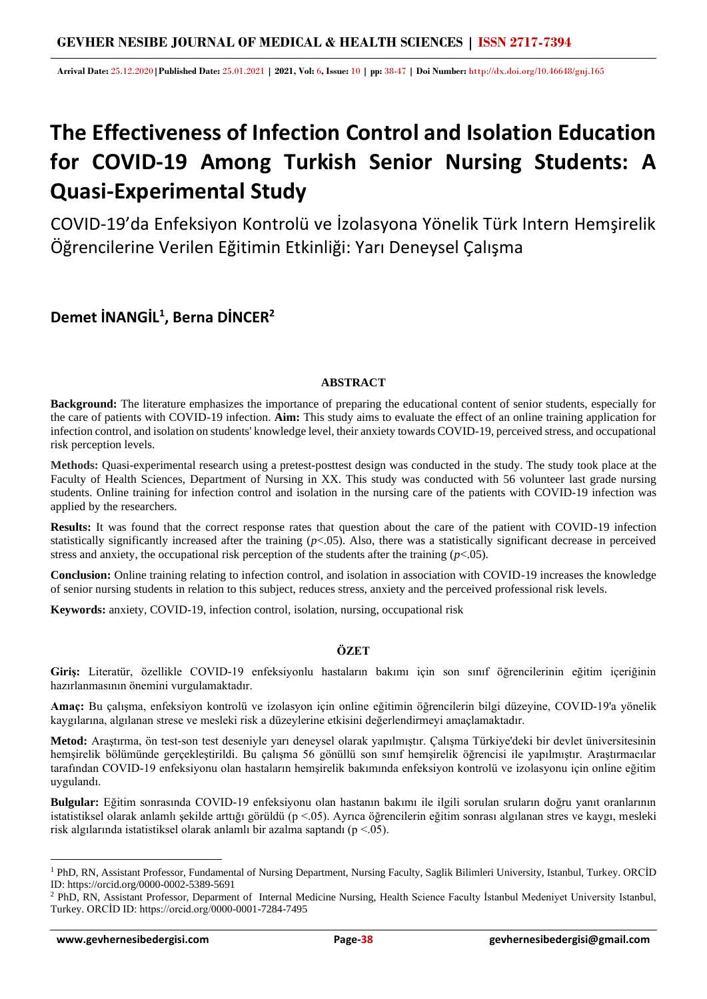**Arrival Date:** 25.12.2020**|Published Date:** 25.01.2021 **| 2021, Vol:** 6**, Issue:** 10 **| pp:** 38-47 **| Doi Number:** http://dx.doi.org/10.46648/gnj.165

# **The Effectiveness of Infection Control and Isolation Education for COVID-19 Among Turkish Senior Nursing Students: A Quasi-Experimental Study**

COVID-19'da Enfeksiyon Kontrolü ve İzolasyona Yönelik Türk Intern Hemşirelik Öğrencilerine Verilen Eğitimin Etkinliği: Yarı Deneysel Çalışma

## **Demet İNANGİL<sup>1</sup> , Berna DİNCER<sup>2</sup>**

## **ABSTRACT**

**Background:** The literature emphasizes the importance of preparing the educational content of senior students, especially for the care of patients with COVID-19 infection. **Aim:** This study aims to evaluate the effect of an online training application for infection control, and isolation on students' knowledge level, their anxiety towards COVID-19, perceived stress, and occupational risk perception levels.

**Methods:** Quasi-experimental research using a pretest-posttest design was conducted in the study. The study took place at the Faculty of Health Sciences, Department of Nursing in XX. This study was conducted with 56 volunteer last grade nursing students. Online training for infection control and isolation in the nursing care of the patients with COVID-19 infection was applied by the researchers.

**Results:** It was found that the correct response rates that question about the care of the patient with COVID-19 infection statistically significantly increased after the training (*p*<.05). Also, there was a statistically significant decrease in perceived stress and anxiety, the occupational risk perception of the students after the training (*p*<.05).

**Conclusion:** Online training relating to infection control, and isolation in association with COVID-19 increases the knowledge of senior nursing students in relation to this subject, reduces stress, anxiety and the perceived professional risk levels.

**Keywords:** anxiety, COVID-19, infection control, isolation, nursing, occupational risk

## **ÖZET**

**Giriş:** Literatür, özellikle COVID-19 enfeksiyonlu hastaların bakımı için son sınıf öğrencilerinin eğitim içeriğinin hazırlanmasının önemini vurgulamaktadır.

**Amaç:** Bu çalışma, enfeksiyon kontrolü ve izolasyon için online eğitimin öğrencilerin bilgi düzeyine, COVID-19'a yönelik kaygılarına, algılanan strese ve mesleki risk a düzeylerine etkisini değerlendirmeyi amaçlamaktadır.

**Metod:** Araştırma, ön test-son test deseniyle yarı deneysel olarak yapılmıştır. Çalışma Türkiye'deki bir devlet üniversitesinin hemşirelik bölümünde gerçekleştirildi. Bu çalışma 56 gönüllü son sınıf hemşirelik öğrencisi ile yapılmıştır. Araştırmacılar tarafından COVID-19 enfeksiyonu olan hastaların hemşirelik bakımında enfeksiyon kontrolü ve izolasyonu için online eğitim uygulandı.

**Bulgular:** Eğitim sonrasında COVID-19 enfeksiyonu olan hastanın bakımı ile ilgili sorulan sruların doğru yanıt oranlarının istatistiksel olarak anlamlı şekilde arttığı görüldü (p <.05). Ayrıca öğrencilerin eğitim sonrası algılanan stres ve kaygı, mesleki risk algılarında istatistiksel olarak anlamlı bir azalma saptandı (p <.05).

<sup>1</sup> PhD, RN, Assistant Professor, Fundamental of Nursing Department, Nursing Faculty, Saglik Bilimleri University, Istanbul, Turkey. ORCİD ID: https://orcid.org/0000-0002-5389-5691

<sup>2</sup> PhD, RN, Assistant Professor, Deparment of Internal Medicine Nursing, Health Science Faculty İstanbul Medeniyet University Istanbul, Turkey. ORCİD ID: https://orcid.org/0000-0001-7284-7495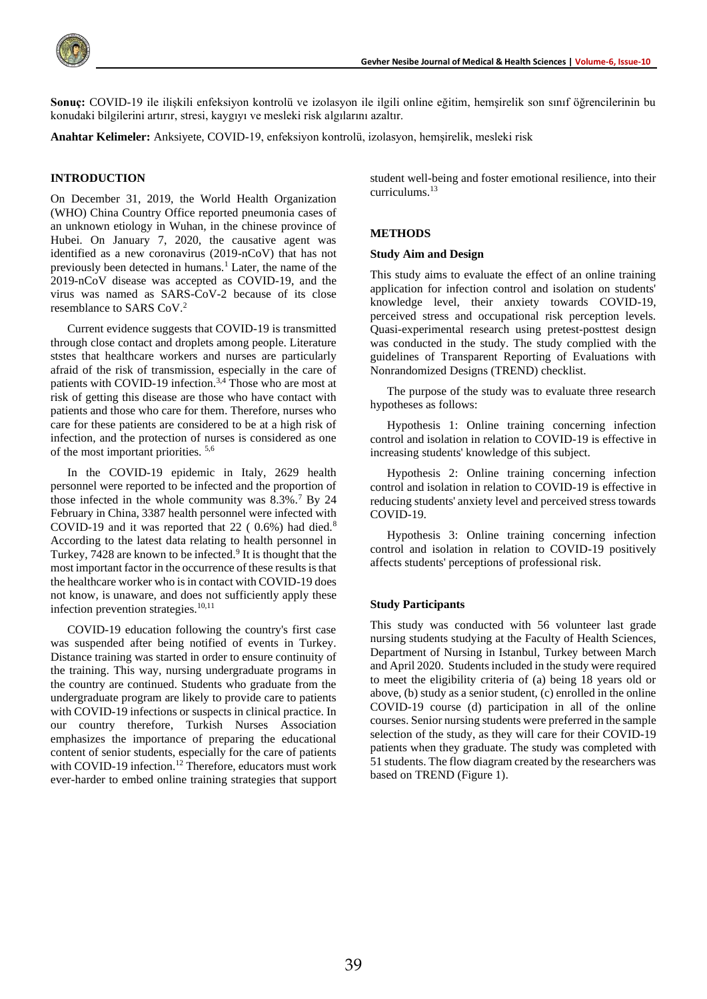

**Sonuç:** COVID-19 ile ilişkili enfeksiyon kontrolü ve izolasyon ile ilgili online eğitim, hemşirelik son sınıf öğrencilerinin bu konudaki bilgilerini artırır, stresi, kaygıyı ve mesleki risk algılarını azaltır.

**Anahtar Kelimeler:** Anksiyete, COVID-19, enfeksiyon kontrolü, izolasyon, hemşirelik, mesleki risk

#### **INTRODUCTION**

On December 31, 2019, the World Health Organization (WHO) China Country Office reported pneumonia cases of an unknown etiology in Wuhan, in the chinese province of Hubei. On January 7, 2020, the causative agent was identified as a new coronavirus (2019-nCoV) that has not previously been detected in humans.<sup>1</sup> Later, the name of the 2019-nCoV disease was accepted as COVID-19, and the virus was named as SARS-CoV-2 because of its close resemblance to SARS CoV.<sup>2</sup>

Current evidence suggests that COVID-19 is transmitted through close contact and droplets among people. Literature ststes that healthcare workers and nurses are particularly afraid of the risk of transmission, especially in the care of patients with COVID-19 infection.3,4 Those who are most at risk of getting this disease are those who have contact with patients and those who care for them. Therefore, nurses who care for these patients are considered to be at a high risk of infection, and the protection of nurses is considered as one of the most important priorities. 5,6

In the COVID-19 epidemic in Italy, 2629 health personnel were reported to be infected and the proportion of those infected in the whole community was 8.3%.<sup>7</sup> By 24 February in China, 3387 health personnel were infected with COVID-19 and it was reported that 22 ( 0.6%) had died.<sup>8</sup> According to the latest data relating to health personnel in Turkey, 7428 are known to be infected.<sup>9</sup> It is thought that the most important factor in the occurrence of these results is that the healthcare worker who is in contact with COVID-19 does not know, is unaware, and does not sufficiently apply these infection prevention strategies.<sup>10,11</sup>

COVID-19 education following the country's first case was suspended after being notified of events in Turkey. Distance training was started in order to ensure continuity of the training. This way, nursing undergraduate programs in the country are continued. Students who graduate from the undergraduate program are likely to provide care to patients with COVID-19 infections or suspects in clinical practice. In our country therefore, Turkish Nurses Association emphasizes the importance of preparing the educational content of senior students, especially for the care of patients with COVID-19 infection.<sup>12</sup> Therefore, educators must work ever-harder to embed online training strategies that support student well-being and foster emotional resilience, into their curriculums.<sup>13</sup>

#### **METHODS**

#### **Study Aim and Design**

This study aims to evaluate the effect of an online training application for infection control and isolation on students' knowledge level, their anxiety towards COVID-19, perceived stress and occupational risk perception levels. Quasi-experimental research using pretest-posttest design was conducted in the study. The study complied with the guidelines of Transparent Reporting of Evaluations with Nonrandomized Designs (TREND) checklist.

The purpose of the study was to evaluate three research hypotheses as follows:

Hypothesis 1: Online training concerning infection control and isolation in relation to COVID-19 is effective in increasing students' knowledge of this subject.

Hypothesis 2: Online training concerning infection control and isolation in relation to COVID-19 is effective in reducing students' anxiety level and perceived stress towards COVID-19.

Hypothesis 3: Online training concerning infection control and isolation in relation to COVID-19 positively affects students' perceptions of professional risk.

#### **Study Participants**

This study was conducted with 56 volunteer last grade nursing students studying at the Faculty of Health Sciences, Department of Nursing in Istanbul, Turkey between March and April 2020. Students included in the study were required to meet the eligibility criteria of (a) being 18 years old or above, (b) study as a senior student, (c) enrolled in the online COVID-19 course (d) participation in all of the online courses. Senior nursing students were preferred in the sample selection of the study, as they will care for their COVID-19 patients when they graduate. The study was completed with 51 students. The flow diagram created by the researchers was based on TREND (Figure 1).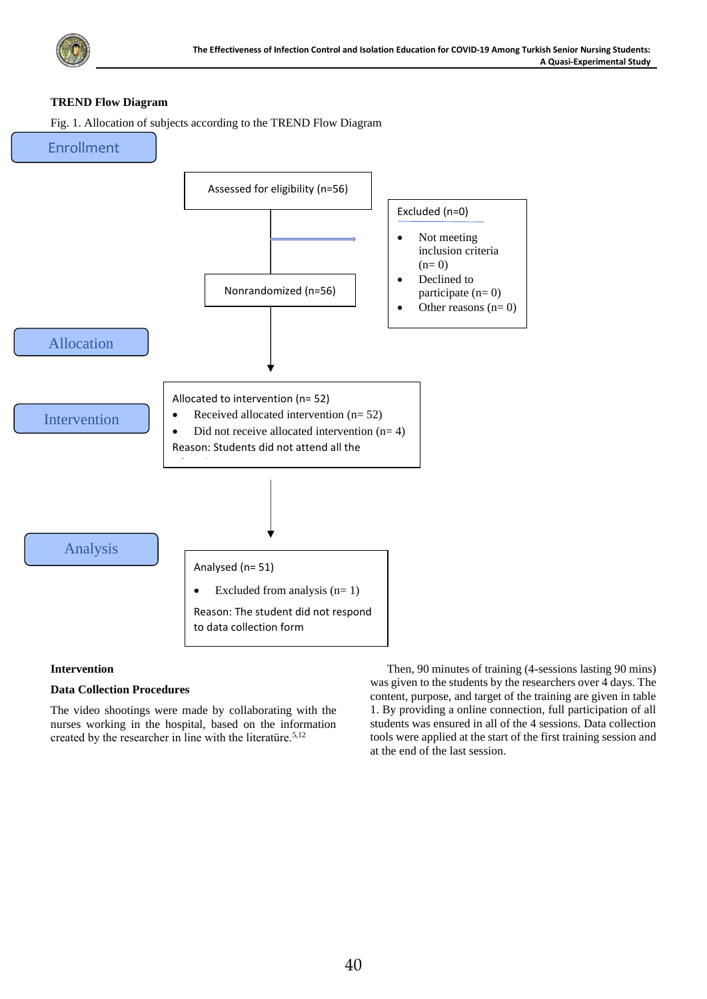

## **TREND Flow Diagram**

Fig. 1. Allocation of subjects according to the TREND Flow Diagram



## **Intervention**

## **Data Collection Procedures**

The video shootings were made by collaborating with the nurses working in the hospital, based on the information created by the researcher in line with the literatüre.<sup>5,12</sup>

Then, 90 minutes of training (4-sessions lasting 90 mins) was given to the students by the researchers over 4 days. The content, purpose, and target of the training are given in table 1. By providing a online connection, full participation of all students was ensured in all of the 4 sessions. Data collection tools were applied at the start of the first training session and at the end of the last session.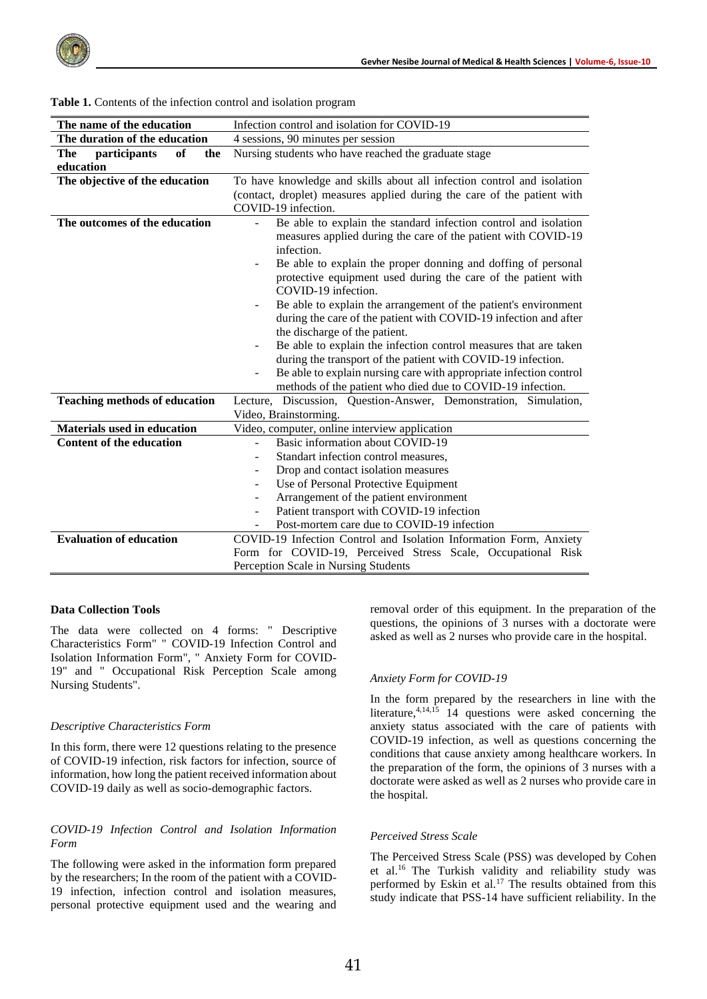| The name of the education            | Infection control and isolation for COVID-19                                                                                                                                                                                                                                                                                                                                                                                                                                                                                                                                                                                                                                                                                                                 |  |  |
|--------------------------------------|--------------------------------------------------------------------------------------------------------------------------------------------------------------------------------------------------------------------------------------------------------------------------------------------------------------------------------------------------------------------------------------------------------------------------------------------------------------------------------------------------------------------------------------------------------------------------------------------------------------------------------------------------------------------------------------------------------------------------------------------------------------|--|--|
| The duration of the education        | 4 sessions, 90 minutes per session                                                                                                                                                                                                                                                                                                                                                                                                                                                                                                                                                                                                                                                                                                                           |  |  |
| participants<br>of<br>The<br>the     | Nursing students who have reached the graduate stage                                                                                                                                                                                                                                                                                                                                                                                                                                                                                                                                                                                                                                                                                                         |  |  |
| education                            |                                                                                                                                                                                                                                                                                                                                                                                                                                                                                                                                                                                                                                                                                                                                                              |  |  |
| The objective of the education       | To have knowledge and skills about all infection control and isolation                                                                                                                                                                                                                                                                                                                                                                                                                                                                                                                                                                                                                                                                                       |  |  |
|                                      | (contact, droplet) measures applied during the care of the patient with<br>COVID-19 infection.                                                                                                                                                                                                                                                                                                                                                                                                                                                                                                                                                                                                                                                               |  |  |
| The outcomes of the education        | Be able to explain the standard infection control and isolation<br>measures applied during the care of the patient with COVID-19<br>infection.<br>Be able to explain the proper donning and doffing of personal<br>protective equipment used during the care of the patient with<br>COVID-19 infection.<br>Be able to explain the arrangement of the patient's environment<br>during the care of the patient with COVID-19 infection and after<br>the discharge of the patient.<br>Be able to explain the infection control measures that are taken<br>-<br>during the transport of the patient with COVID-19 infection.<br>Be able to explain nursing care with appropriate infection control<br>methods of the patient who died due to COVID-19 infection. |  |  |
| <b>Teaching methods of education</b> | Lecture, Discussion, Question-Answer, Demonstration, Simulation,<br>Video, Brainstorming.                                                                                                                                                                                                                                                                                                                                                                                                                                                                                                                                                                                                                                                                    |  |  |
| <b>Materials used in education</b>   | Video, computer, online interview application                                                                                                                                                                                                                                                                                                                                                                                                                                                                                                                                                                                                                                                                                                                |  |  |
| <b>Content of the education</b>      | Basic information about COVID-19                                                                                                                                                                                                                                                                                                                                                                                                                                                                                                                                                                                                                                                                                                                             |  |  |
|                                      | Standart infection control measures,                                                                                                                                                                                                                                                                                                                                                                                                                                                                                                                                                                                                                                                                                                                         |  |  |
|                                      | Drop and contact isolation measures                                                                                                                                                                                                                                                                                                                                                                                                                                                                                                                                                                                                                                                                                                                          |  |  |
|                                      | Use of Personal Protective Equipment<br>$\overline{\phantom{0}}$                                                                                                                                                                                                                                                                                                                                                                                                                                                                                                                                                                                                                                                                                             |  |  |
|                                      | Arrangement of the patient environment                                                                                                                                                                                                                                                                                                                                                                                                                                                                                                                                                                                                                                                                                                                       |  |  |
|                                      | Patient transport with COVID-19 infection                                                                                                                                                                                                                                                                                                                                                                                                                                                                                                                                                                                                                                                                                                                    |  |  |
|                                      | Post-mortem care due to COVID-19 infection                                                                                                                                                                                                                                                                                                                                                                                                                                                                                                                                                                                                                                                                                                                   |  |  |
| <b>Evaluation of education</b>       | COVID-19 Infection Control and Isolation Information Form, Anxiety                                                                                                                                                                                                                                                                                                                                                                                                                                                                                                                                                                                                                                                                                           |  |  |
|                                      | Form for COVID-19, Perceived Stress Scale, Occupational Risk                                                                                                                                                                                                                                                                                                                                                                                                                                                                                                                                                                                                                                                                                                 |  |  |
|                                      | Perception Scale in Nursing Students                                                                                                                                                                                                                                                                                                                                                                                                                                                                                                                                                                                                                                                                                                                         |  |  |

#### **Table 1.** Contents of the infection control and isolation program

## **Data Collection Tools**

The data were collected on 4 forms: " Descriptive Characteristics Form" " COVID-19 Infection Control and Isolation Information Form", " Anxiety Form for COVID-19" and " Occupational Risk Perception Scale among Nursing Students".

#### *Descriptive Characteristics Form*

In this form, there were 12 questions relating to the presence of COVID-19 infection, risk factors for infection, source of information, how long the patient received information about COVID-19 daily as well as socio-demographic factors.

## *COVID-19 Infection Control and Isolation Information Form*

The following were asked in the information form prepared by the researchers; In the room of the patient with a COVID-19 infection, infection control and isolation measures, personal protective equipment used and the wearing and

removal order of this equipment. In the preparation of the questions, the opinions of 3 nurses with a doctorate were asked as well as 2 nurses who provide care in the hospital.

#### *Anxiety Form for COVID-19*

In the form prepared by the researchers in line with the literature, $4,14,15$  14 questions were asked concerning the anxiety status associated with the care of patients with COVID-19 infection, as well as questions concerning the conditions that cause anxiety among healthcare workers. In the preparation of the form, the opinions of 3 nurses with a doctorate were asked as well as 2 nurses who provide care in the hospital.

#### *Perceived Stress Scale*

The Perceived Stress Scale (PSS) was developed by Cohen et al.<sup>16</sup> The Turkish validity and reliability study was performed by Eskin et al.<sup>17</sup> The results obtained from this study indicate that PSS-14 have sufficient reliability. In the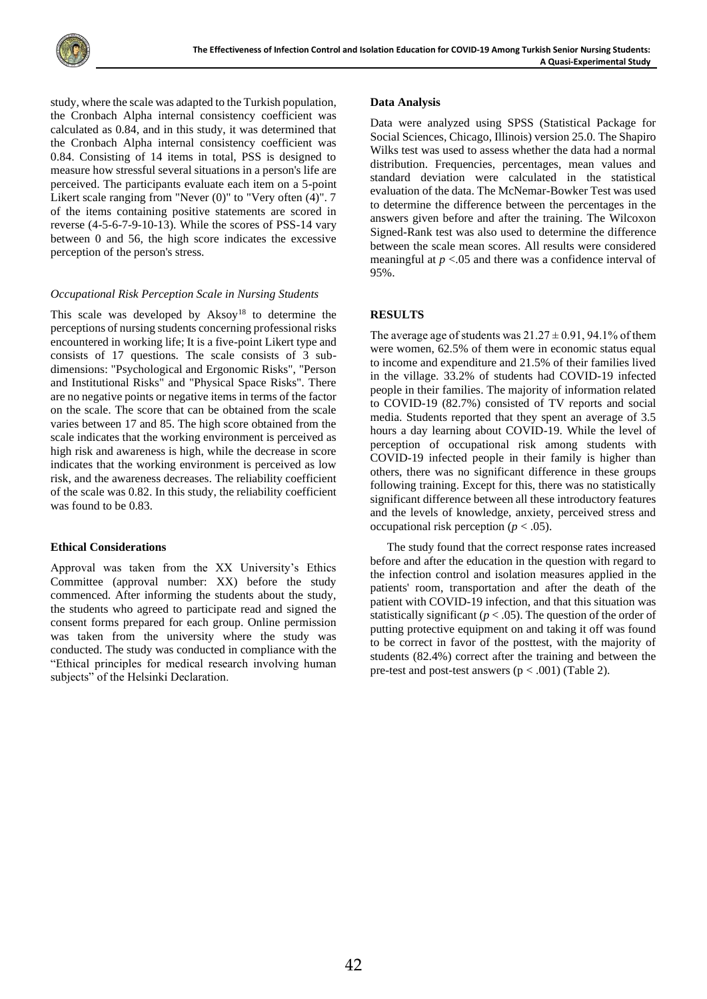study, where the scale was adapted to the Turkish population, the Cronbach Alpha internal consistency coefficient was calculated as 0.84, and in this study, it was determined that the Cronbach Alpha internal consistency coefficient was 0.84. Consisting of 14 items in total, PSS is designed to measure how stressful several situations in a person's life are perceived. The participants evaluate each item on a 5-point Likert scale ranging from "Never (0)" to "Very often (4)". 7 of the items containing positive statements are scored in reverse (4-5-6-7-9-10-13). While the scores of PSS-14 vary between 0 and 56, the high score indicates the excessive perception of the person's stress.

## *Occupational Risk Perception Scale in Nursing Students*

This scale was developed by  $Aksoy<sup>18</sup>$  to determine the perceptions of nursing students concerning professional risks encountered in working life; It is a five-point Likert type and consists of 17 questions. The scale consists of 3 subdimensions: "Psychological and Ergonomic Risks", "Person and Institutional Risks" and "Physical Space Risks". There are no negative points or negative items in terms of the factor on the scale. The score that can be obtained from the scale varies between 17 and 85. The high score obtained from the scale indicates that the working environment is perceived as high risk and awareness is high, while the decrease in score indicates that the working environment is perceived as low risk, and the awareness decreases. The reliability coefficient of the scale was 0.82. In this study, the reliability coefficient was found to be 0.83*.*

## **Ethical Considerations**

Approval was taken from the XX University's Ethics Committee (approval number: XX) before the study commenced. After informing the students about the study, the students who agreed to participate read and signed the consent forms prepared for each group. Online permission was taken from the university where the study was conducted. The study was conducted in compliance with the "Ethical principles for medical research involving human subjects" of the Helsinki Declaration.

#### **Data Analysis**

Data were analyzed using SPSS (Statistical Package for Social Sciences, Chicago, Illinois) version 25.0. The Shapiro Wilks test was used to assess whether the data had a normal distribution. Frequencies, percentages, mean values and standard deviation were calculated in the statistical evaluation of the data. The McNemar-Bowker Test was used to determine the difference between the percentages in the answers given before and after the training. The Wilcoxon Signed-Rank test was also used to determine the difference between the scale mean scores. All results were considered meaningful at *p* <.05 and there was a confidence interval of 95%.

## **RESULTS**

The average age of students was  $21.27 \pm 0.91$ , 94.1% of them were women, 62.5% of them were in economic status equal to income and expenditure and 21.5% of their families lived in the village. 33.2% of students had COVID-19 infected people in their families. The majority of information related to COVID-19 (82.7%) consisted of TV reports and social media. Students reported that they spent an average of 3.5 hours a day learning about COVID-19. While the level of perception of occupational risk among students with COVID-19 infected people in their family is higher than others, there was no significant difference in these groups following training. Except for this, there was no statistically significant difference between all these introductory features and the levels of knowledge, anxiety, perceived stress and occupational risk perception ( $p < .05$ ).

The study found that the correct response rates increased before and after the education in the question with regard to the infection control and isolation measures applied in the patients' room, transportation and after the death of the patient with COVID-19 infection, and that this situation was statistically significant ( $p < .05$ ). The question of the order of putting protective equipment on and taking it off was found to be correct in favor of the posttest, with the majority of students (82.4%) correct after the training and between the pre-test and post-test answers  $(p < .001)$  (Table 2).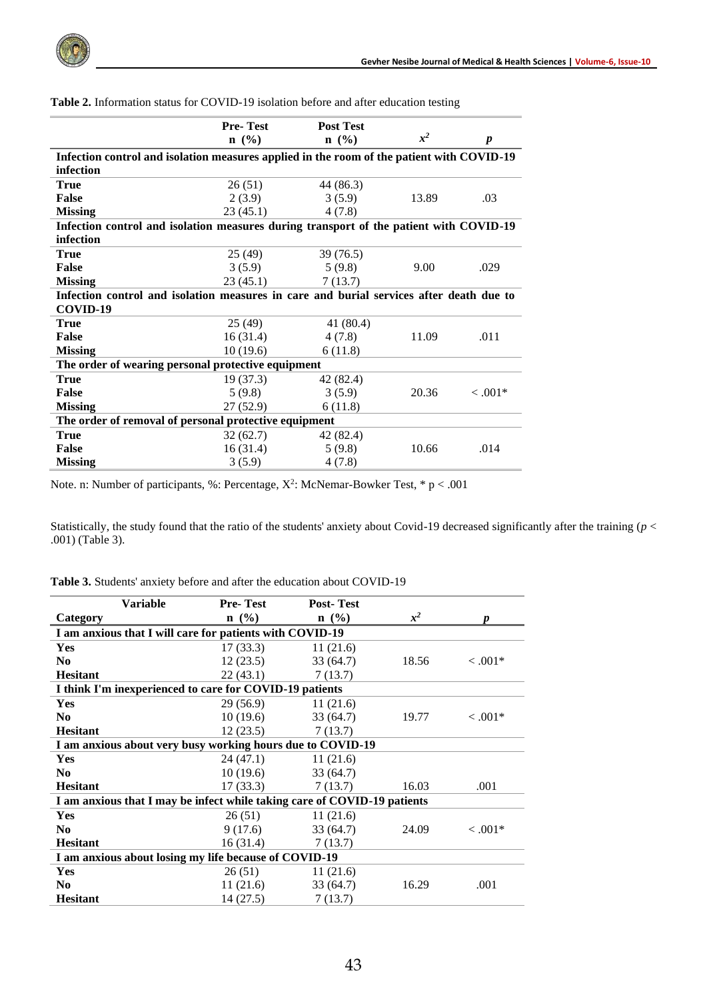

|                                                                                           | <b>Pre-Test</b> | <b>Post Test</b> |       |            |
|-------------------------------------------------------------------------------------------|-----------------|------------------|-------|------------|
|                                                                                           | $n \ (\%)$      | $n \ (\%)$       | $x^2$ | p          |
| Infection control and isolation measures applied in the room of the patient with COVID-19 |                 |                  |       |            |
| infection                                                                                 |                 |                  |       |            |
| <b>True</b>                                                                               | 26(51)          | 44 (86.3)        |       |            |
| <b>False</b>                                                                              | 2(3.9)          | 3(5.9)           | 13.89 | .03        |
| <b>Missing</b>                                                                            | 23(45.1)        | 4(7.8)           |       |            |
| Infection control and isolation measures during transport of the patient with COVID-19    |                 |                  |       |            |
| infection                                                                                 |                 |                  |       |            |
| <b>True</b>                                                                               | 25 (49)         | 39 (76.5)        |       |            |
| <b>False</b>                                                                              | 3(5.9)          | 5(9.8)           | 9.00  | .029       |
| <b>Missing</b>                                                                            | 23(45.1)        | 7(13.7)          |       |            |
| Infection control and isolation measures in care and burial services after death due to   |                 |                  |       |            |
| COVID-19                                                                                  |                 |                  |       |            |
| <b>True</b>                                                                               | 25(49)          | 41 (80.4)        |       |            |
| False                                                                                     | 16(31.4)        | 4(7.8)           | 11.09 | .011       |
| <b>Missing</b>                                                                            | 10(19.6)        | 6(11.8)          |       |            |
| The order of wearing personal protective equipment                                        |                 |                  |       |            |
| <b>True</b>                                                                               | 19(37.3)        | 42 (82.4)        |       |            |
| False                                                                                     | 5(9.8)          | 3(5.9)           | 20.36 | $< 0.001*$ |
| <b>Missing</b>                                                                            | 27(52.9)        | 6(11.8)          |       |            |
| The order of removal of personal protective equipment                                     |                 |                  |       |            |
| <b>True</b>                                                                               | 32 (62.7)       | 42 (82.4)        |       |            |
| False                                                                                     | 16(31.4)        | 5(9.8)           | 10.66 | .014       |
| <b>Missing</b>                                                                            | 3(5.9)          | 4(7.8)           |       |            |

| Table 2. Information status for COVID-19 isolation before and after education testing |  |
|---------------------------------------------------------------------------------------|--|
|---------------------------------------------------------------------------------------|--|

Note. n: Number of participants, %: Percentage,  $X^2$ : McNemar-Bowker Test,  $* p < .001$ 

Statistically, the study found that the ratio of the students' anxiety about Covid-19 decreased significantly after the training (*p* < .001) (Table 3).

|                                                                          | <b>Variable</b> | <b>Pre-Test</b>                                            | <b>Post-Test</b> |       |            |
|--------------------------------------------------------------------------|-----------------|------------------------------------------------------------|------------------|-------|------------|
| Category                                                                 |                 | $n \ (\%)$                                                 | $n \ (\%)$       | $x^2$ | <i>n</i>   |
|                                                                          |                 | I am anxious that I will care for patients with COVID-19   |                  |       |            |
| Yes                                                                      |                 | 17(33.3)                                                   | 11(21.6)         |       |            |
| N <sub>0</sub>                                                           |                 | 12(23.5)                                                   | 33(64.7)         | 18.56 | $< 0.001*$ |
| <b>Hesitant</b>                                                          |                 | 22(43.1)                                                   | 7(13.7)          |       |            |
|                                                                          |                 | I think I'm inexperienced to care for COVID-19 patients    |                  |       |            |
| Yes                                                                      |                 | 29(56.9)                                                   | 11(21.6)         |       |            |
| N <sub>0</sub>                                                           |                 | 10(19.6)                                                   | 33(64.7)         | 19.77 | $< 0.001*$ |
| <b>Hesitant</b>                                                          |                 | 12(23.5)                                                   | 7(13.7)          |       |            |
|                                                                          |                 | I am anxious about very busy working hours due to COVID-19 |                  |       |            |
| Yes                                                                      |                 | 24(47.1)                                                   | 11(21.6)         |       |            |
| N <sub>0</sub>                                                           |                 | 10(19.6)                                                   | 33 (64.7)        |       |            |
| <b>Hesitant</b>                                                          |                 | 17(33.3)                                                   | 7(13.7)          | 16.03 | .001       |
| I am anxious that I may be infect while taking care of COVID-19 patients |                 |                                                            |                  |       |            |
| Yes                                                                      |                 | 26(51)                                                     | 11(21.6)         |       |            |
| N <sub>0</sub>                                                           |                 | 9(17.6)                                                    | 33 (64.7)        | 24.09 | $< 0.001*$ |
| <b>Hesitant</b>                                                          |                 | 16(31.4)                                                   | 7(13.7)          |       |            |
| I am anxious about losing my life because of COVID-19                    |                 |                                                            |                  |       |            |
| Yes                                                                      |                 | 26(51)                                                     | 11(21.6)         |       |            |
| N <sub>0</sub>                                                           |                 | 11(21.6)                                                   | 33(64.7)         | 16.29 | .001       |
| <b>Hesitant</b>                                                          |                 | 14(27.5)                                                   | 7(13.7)          |       |            |

| <b>Table 3.</b> Students' anxiety before and after the education about COVID-19 |  |  |
|---------------------------------------------------------------------------------|--|--|
|---------------------------------------------------------------------------------|--|--|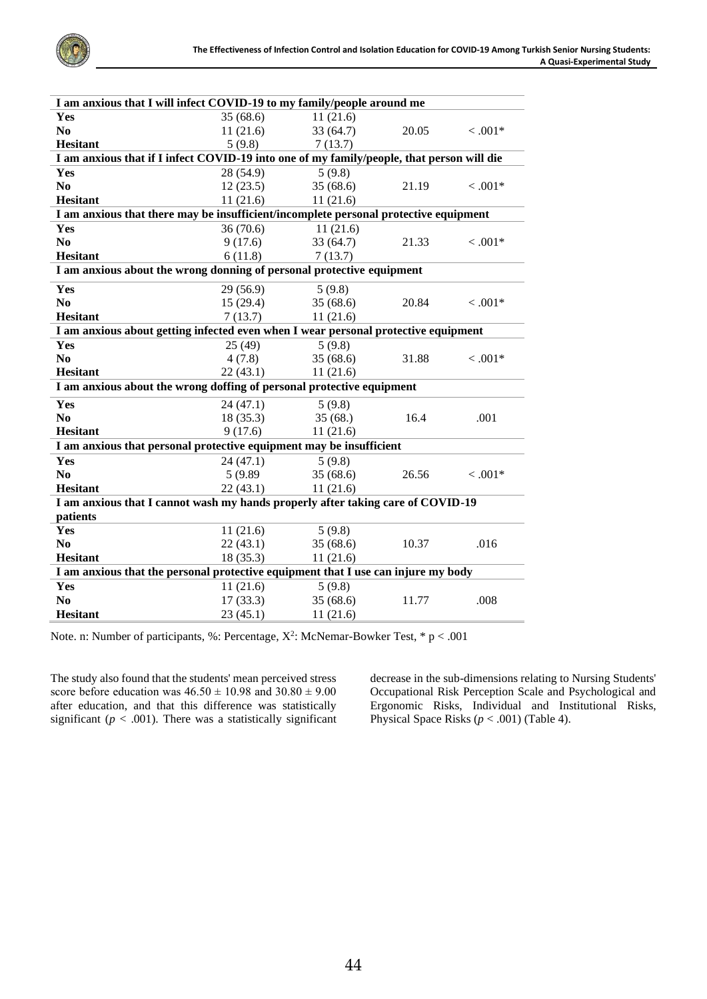

| I am anxious that I will infect COVID-19 to my family/people around me                    |           |           |       |            |
|-------------------------------------------------------------------------------------------|-----------|-----------|-------|------------|
| Yes                                                                                       | 35(68.6)  | 11(21.6)  |       |            |
| N <sub>0</sub>                                                                            | 11(21.6)  | 33(64.7)  | 20.05 | $< .001*$  |
| <b>Hesitant</b>                                                                           | 5(9.8)    | 7(13.7)   |       |            |
| I am anxious that if I infect COVID-19 into one of my family/people, that person will die |           |           |       |            |
| Yes                                                                                       | 28 (54.9) | 5(9.8)    |       |            |
| N <sub>0</sub>                                                                            | 12(23.5)  | 35(68.6)  | 21.19 | $< .001*$  |
| <b>Hesitant</b>                                                                           | 11(21.6)  | 11(21.6)  |       |            |
| I am anxious that there may be insufficient/incomplete personal protective equipment      |           |           |       |            |
| Yes                                                                                       | 36(70.6)  | 11(21.6)  |       |            |
| N <sub>0</sub>                                                                            | 9(17.6)   | 33(64.7)  | 21.33 | $< .001*$  |
| <b>Hesitant</b>                                                                           | 6(11.8)   | 7(13.7)   |       |            |
| I am anxious about the wrong donning of personal protective equipment                     |           |           |       |            |
| Yes                                                                                       | 29 (56.9) | 5(9.8)    |       |            |
| N <sub>0</sub>                                                                            | 15(29.4)  | 35 (68.6) | 20.84 | $< 0.001*$ |
| <b>Hesitant</b>                                                                           | 7(13.7)   | 11(21.6)  |       |            |
| I am anxious about getting infected even when I wear personal protective equipment        |           |           |       |            |
| Yes                                                                                       | 25(49)    | 5(9.8)    |       |            |
| N <sub>0</sub>                                                                            | 4(7.8)    | 35(68.6)  | 31.88 | $< .001*$  |
| <b>Hesitant</b>                                                                           | 22(43.1)  | 11(21.6)  |       |            |
| I am anxious about the wrong doffing of personal protective equipment                     |           |           |       |            |
| Yes                                                                                       | 24(47.1)  | 5(9.8)    |       |            |
| N <sub>0</sub>                                                                            | 18(35.3)  | 35(68.)   | 16.4  | .001       |
| <b>Hesitant</b>                                                                           | 9(17.6)   | 11(21.6)  |       |            |
| I am anxious that personal protective equipment may be insufficient                       |           |           |       |            |
| Yes                                                                                       | 24(47.1)  | 5(9.8)    |       |            |
| N <sub>0</sub>                                                                            | 5 (9.89)  | 35(68.6)  | 26.56 | $< .001*$  |
| <b>Hesitant</b>                                                                           | 22(43.1)  | 11(21.6)  |       |            |
| I am anxious that I cannot wash my hands properly after taking care of COVID-19           |           |           |       |            |
| patients                                                                                  |           |           |       |            |
| Yes                                                                                       | 11(21.6)  | 5(9.8)    |       |            |
| N <sub>0</sub>                                                                            | 22(43.1)  | 35(68.6)  | 10.37 | .016       |
| <b>Hesitant</b>                                                                           | 18(35.3)  | 11(21.6)  |       |            |
| I am anxious that the personal protective equipment that I use can injure my body         |           |           |       |            |
| <b>Yes</b>                                                                                | 11(21.6)  | 5(9.8)    |       |            |
| N <sub>0</sub>                                                                            | 17(33.3)  | 35(68.6)  | 11.77 | .008       |
| <b>Hesitant</b>                                                                           | 23(45.1)  | 11(21.6)  |       |            |

Note. n: Number of participants, %: Percentage,  $X^2$ : McNemar-Bowker Test,  $* p < .001$ 

The study also found that the students' mean perceived stress score before education was  $46.50 \pm 10.98$  and  $30.80 \pm 9.00$ after education, and that this difference was statistically significant ( $p < .001$ ). There was a statistically significant decrease in the sub-dimensions relating to Nursing Students' Occupational Risk Perception Scale and Psychological and Ergonomic Risks, Individual and Institutional Risks, Physical Space Risks  $(p < .001)$  (Table 4).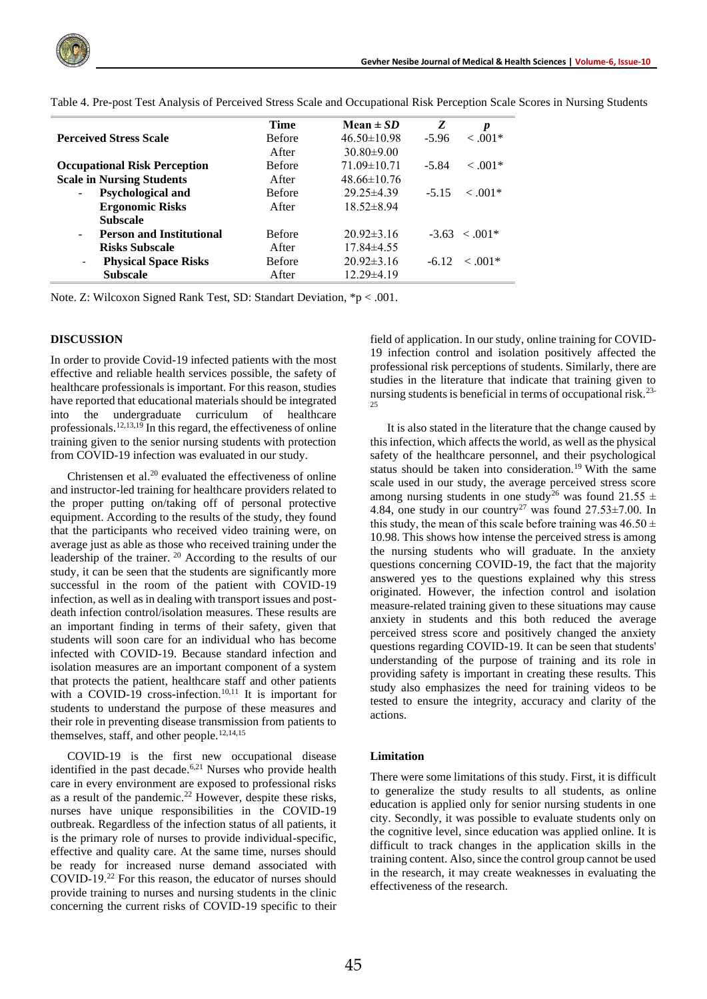

|                                                         | <b>Time</b>   | Mean $\pm SD$     | Z<br>p                  |
|---------------------------------------------------------|---------------|-------------------|-------------------------|
| <b>Perceived Stress Scale</b>                           | <b>Before</b> | $46.50 \pm 10.98$ | $< 0.01*$<br>$-5.96$    |
|                                                         | After         | $30.80 \pm 9.00$  |                         |
| <b>Occupational Risk Perception</b>                     | <b>Before</b> | $71.09 \pm 10.71$ | $< .001*$<br>$-5.84$    |
| <b>Scale in Nursing Students</b>                        | After         | $48.66 \pm 10.76$ |                         |
| Psychological and<br>$\overline{\phantom{a}}$           | <b>Before</b> | $29.25 \pm 4.39$  | $<.001*$<br>$-5.15$     |
| <b>Ergonomic Risks</b>                                  | After         | $18.52 \pm 8.94$  |                         |
| <b>Subscale</b>                                         |               |                   |                         |
| <b>Person and Institutional</b><br>$\sim$               | <b>Before</b> | $20.92\pm3.16$    | $-3.63 \le 0.01*$       |
| <b>Risks Subscale</b>                                   | After         | $17.84\pm4.55$    |                         |
| <b>Physical Space Risks</b><br>$\overline{\phantom{a}}$ | <b>Before</b> | $20.92\pm3.16$    | $\leq .001*$<br>$-6.12$ |
| <b>Subscale</b>                                         | After         | $12.29\pm4.19$    |                         |

Table 4. Pre-post Test Analysis of Perceived Stress Scale and Occupational Risk Perception Scale Scores in Nursing Students

Note. Z: Wilcoxon Signed Rank Test, SD: Standart Deviation, \*p < .001.

#### **DISCUSSION**

In order to provide Covid-19 infected patients with the most effective and reliable health services possible, the safety of healthcare professionals is important. For this reason, studies have reported that educational materials should be integrated into the undergraduate curriculum of healthcare professionals.12,13,19 In this regard, the effectiveness of online training given to the senior nursing students with protection from COVID-19 infection was evaluated in our study.

Christensen et al.<sup>20</sup> evaluated the effectiveness of online and instructor-led training for healthcare providers related to the proper putting on/taking off of personal protective equipment. According to the results of the study, they found that the participants who received video training were, on average just as able as those who received training under the leadership of the trainer. <sup>20</sup> According to the results of our study, it can be seen that the students are significantly more successful in the room of the patient with COVID-19 infection, as well as in dealing with transport issues and postdeath infection control/isolation measures. These results are an important finding in terms of their safety, given that students will soon care for an individual who has become infected with COVID-19. Because standard infection and isolation measures are an important component of a system that protects the patient, healthcare staff and other patients with a COVID-19 cross-infection.<sup>10,11</sup> It is important for students to understand the purpose of these measures and their role in preventing disease transmission from patients to themselves, staff, and other people.<sup>12,14,15</sup>

COVID-19 is the first new occupational disease identified in the past decade.<sup>6,21</sup> Nurses who provide health care in every environment are exposed to professional risks as a result of the pandemic.<sup>22</sup> However, despite these risks, nurses have unique responsibilities in the COVID-19 outbreak. Regardless of the infection status of all patients, it is the primary role of nurses to provide individual-specific, effective and quality care. At the same time, nurses should be ready for increased nurse demand associated with COVID‐19.<sup>22</sup> For this reason, the educator of nurses should provide training to nurses and nursing students in the clinic concerning the current risks of COVID-19 specific to their

field of application. In our study, online training for COVID-19 infection control and isolation positively affected the professional risk perceptions of students. Similarly, there are studies in the literature that indicate that training given to nursing students is beneficial in terms of occupational risk.23- 25

It is also stated in the literature that the change caused by this infection, which affects the world, as well as the physical safety of the healthcare personnel, and their psychological status should be taken into consideration.<sup>19</sup> With the same scale used in our study, the average perceived stress score among nursing students in one study<sup>26</sup> was found 21.55  $\pm$ 4.84, one study in our country<sup>27</sup> was found  $27.53\pm7.00$ . In this study, the mean of this scale before training was  $46.50 \pm$ 10.98. This shows how intense the perceived stress is among the nursing students who will graduate. In the anxiety questions concerning COVID-19, the fact that the majority answered yes to the questions explained why this stress originated. However, the infection control and isolation measure-related training given to these situations may cause anxiety in students and this both reduced the average perceived stress score and positively changed the anxiety questions regarding COVID-19. It can be seen that students' understanding of the purpose of training and its role in providing safety is important in creating these results. This study also emphasizes the need for training videos to be tested to ensure the integrity, accuracy and clarity of the actions.

#### **Limitation**

There were some limitations of this study. First, it is difficult to generalize the study results to all students, as online education is applied only for senior nursing students in one city. Secondly, it was possible to evaluate students only on the cognitive level, since education was applied online. It is difficult to track changes in the application skills in the training content. Also, since the control group cannot be used in the research, it may create weaknesses in evaluating the effectiveness of the research.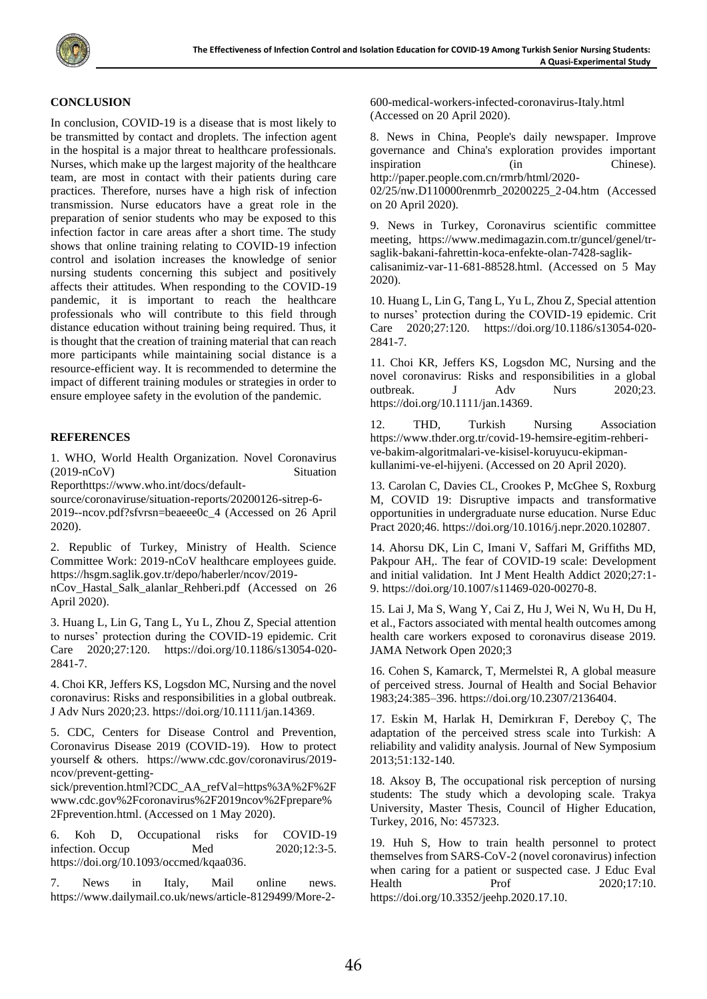## **CONCLUSION**

In conclusion, COVID-19 is a disease that is most likely to be transmitted by contact and droplets. The infection agent in the hospital is a major threat to healthcare professionals. Nurses, which make up the largest majority of the healthcare team, are most in contact with their patients during care practices. Therefore, nurses have a high risk of infection transmission. Nurse educators have a great role in the preparation of senior students who may be exposed to this infection factor in care areas after a short time. The study shows that online training relating to COVID-19 infection control and isolation increases the knowledge of senior nursing students concerning this subject and positively affects their attitudes. When responding to the COVID-19 pandemic, it is important to reach the healthcare professionals who will contribute to this field through distance education without training being required. Thus, it is thought that the creation of training material that can reach more participants while maintaining social distance is a resource-efficient way. It is recommended to determine the impact of different training modules or strategies in order to ensure employee safety in the evolution of the pandemic.

## **REFERENCES**

1. WHO, World Health Organization. Novel Coronavirus (2019-nCoV) Situation

Repor[thttps://www.who.int/docs/default-](https://www.who.int/docs/default-source/coronaviruse/situation-reports/20200126-sitrep-6-2019--ncov.pdf?sfvrsn=beaeee0c_4)

[source/coronaviruse/situation-reports/20200126-sitrep-6-](https://www.who.int/docs/default-source/coronaviruse/situation-reports/20200126-sitrep-6-2019--ncov.pdf?sfvrsn=beaeee0c_4) [2019--ncov.pdf?sfvrsn=beaeee0c\\_4](https://www.who.int/docs/default-source/coronaviruse/situation-reports/20200126-sitrep-6-2019--ncov.pdf?sfvrsn=beaeee0c_4) (Accessed on 26 April 2020).

2. Republic of Turkey, Ministry of Health. Science Committee Work: 2019-nCoV healthcare employees guide. [https://hsgm.saglik.gov.tr/depo/haberler/ncov/2019-](https://hsgm.saglik.gov.tr/depo/haberler/ncov/2019-nCov_Hastal_Salk_alanlar_Rehberi.pdf)

[nCov\\_Hastal\\_Salk\\_alanlar\\_Rehberi.pdf](https://hsgm.saglik.gov.tr/depo/haberler/ncov/2019-nCov_Hastal_Salk_alanlar_Rehberi.pdf) (Accessed on 26 April 2020).

3. Huang L, Lin G, Tang L, Yu L, Zhou Z, Special attention to nurses' protection during the COVID-19 epidemic. Crit Care 2020;27:120. [https://doi.org/10.1186/s13054-020-](https://doi.org/10.1186/s13054-020-2841-7) [2841-7.](https://doi.org/10.1186/s13054-020-2841-7)

4. Choi KR, Jeffers KS, Logsdon MC, Nursing and the novel coronavirus: Risks and responsibilities in a global outbreak. J Adv Nurs 2020;23. [https://doi.org/10.1111/jan.14369.](https://doi.org/10.1111/jan.14369)

5. CDC, Centers for Disease Control and Prevention, Coronavirus Disease 2019 (COVID-19). How to protect yourself & others. [https://www.cdc.gov/coronavirus/2019](https://www.cdc.gov/coronavirus/2019-ncov/prevent-getting-sick/prevention.html?CDC_AA_refVal=https%3A%2F%2Fwww.cdc.gov%2Fcoronavirus%2F2019ncov%2Fprepare%2Fprevention.html) [ncov/prevent-getting-](https://www.cdc.gov/coronavirus/2019-ncov/prevent-getting-sick/prevention.html?CDC_AA_refVal=https%3A%2F%2Fwww.cdc.gov%2Fcoronavirus%2F2019ncov%2Fprepare%2Fprevention.html)

[sick/prevention.html?CDC\\_AA\\_refVal=https%3A%2F%2F](https://www.cdc.gov/coronavirus/2019-ncov/prevent-getting-sick/prevention.html?CDC_AA_refVal=https%3A%2F%2Fwww.cdc.gov%2Fcoronavirus%2F2019ncov%2Fprepare%2Fprevention.html) [www.cdc.gov%2Fcoronavirus%2F2019ncov%2Fprepare%](https://www.cdc.gov/coronavirus/2019-ncov/prevent-getting-sick/prevention.html?CDC_AA_refVal=https%3A%2F%2Fwww.cdc.gov%2Fcoronavirus%2F2019ncov%2Fprepare%2Fprevention.html) [2Fprevention.html.](https://www.cdc.gov/coronavirus/2019-ncov/prevent-getting-sick/prevention.html?CDC_AA_refVal=https%3A%2F%2Fwww.cdc.gov%2Fcoronavirus%2F2019ncov%2Fprepare%2Fprevention.html) (Accessed on 1 May 2020).

6. Koh D, Occupational risks for COVID-19 infection. Occup Med 2020;12:3-5. [https://doi.org/10.1093/occmed/kqaa036.](https://doi.org/10.1093/occmed/kqaa036)

7. News in Italy, Mail online news. [https://www.dailymail.co.uk/news/article-8129499/More-2-](https://www.dailymail.co.uk/news/article-8129499/More-2-600-medical-workers-infected-coronavirus-Italy.html) [600-medical-workers-infected-coronavirus-Italy.html](https://www.dailymail.co.uk/news/article-8129499/More-2-600-medical-workers-infected-coronavirus-Italy.html) (Accessed on 20 April 2020).

8. News in China, People's daily newspaper. Improve governance and China's exploration provides important inspiration (in Chinese). http://paper.people.com.cn/rmrb/html/2020-

02/25/nw.D110000renmrb\_20200225\_2-04.htm (Accessed on 20 April 2020).

9. News in Turkey, Coronavirus scientific committee meeting, [https://www.medimagazin.com.tr/guncel/genel/tr](https://www.medimagazin.com.tr/guncel/genel/tr-saglik-bakani-fahrettin-koca-enfekte-olan-7428-saglik-calisanimiz-var-11-681-88528.html)[saglik-bakani-fahrettin-koca-enfekte-olan-7428-saglik](https://www.medimagazin.com.tr/guncel/genel/tr-saglik-bakani-fahrettin-koca-enfekte-olan-7428-saglik-calisanimiz-var-11-681-88528.html)[calisanimiz-var-11-681-88528.html.](https://www.medimagazin.com.tr/guncel/genel/tr-saglik-bakani-fahrettin-koca-enfekte-olan-7428-saglik-calisanimiz-var-11-681-88528.html) (Accessed on 5 May 2020).

10. Huang L, Lin G, Tang L, Yu L, Zhou Z, Special attention to nurses' protection during the COVID-19 epidemic. Crit Care 2020;27:120. [https://doi.org/10.1186/s13054-020-](https://doi.org/10.1186/s13054-020-2841-7) [2841-7.](https://doi.org/10.1186/s13054-020-2841-7)

11. Choi KR, Jeffers KS, Logsdon MC, Nursing and the novel coronavirus: Risks and responsibilities in a global outbreak. J Adv Nurs 2020;23. [https://doi.org/10.1111/jan.14369.](https://doi.org/10.1111/jan.14369)

12. THD, Turkish Nursing Association [https://www.thder.org.tr/covid-19-hemsire-egitim-rehberi](https://www.thder.org.tr/covid-19-hemsire-egitim-rehberi-ve-bakim-algoritmalari-ve-kisisel-koruyucu-ekipman-kullanimi-ve-el-hijyeni)[ve-bakim-algoritmalari-ve-kisisel-koruyucu-ekipman](https://www.thder.org.tr/covid-19-hemsire-egitim-rehberi-ve-bakim-algoritmalari-ve-kisisel-koruyucu-ekipman-kullanimi-ve-el-hijyeni)[kullanimi-ve-el-hijyeni.](https://www.thder.org.tr/covid-19-hemsire-egitim-rehberi-ve-bakim-algoritmalari-ve-kisisel-koruyucu-ekipman-kullanimi-ve-el-hijyeni) (Accessed on 20 April 2020).

13. Carolan C, Davies CL, Crookes P, McGhee S, Roxburg M, COVID 19: Disruptive impacts and transformative opportunities in undergraduate nurse education. Nurse Educ Pract 2020;46[. https://doi.org/10.1016/j.nepr.2020.102807.](https://doi.org/10.1016/j.nepr.2020.102807)

14. Ahorsu DK, Lin C, Imani V, Saffari M, Griffiths MD, Pakpour AH,. The fear of COVID-19 scale: Development and initial validation. Int J Ment Health Addict 2020;27:1- 9. [https://doi.org/10.1007/s11469-020-00270-8.](https://doi.org/10.1007/s11469-020-00270-8)

15. Lai J, Ma S, Wang Y, Cai Z, Hu J, Wei N, Wu H, Du H, et al., Factors associated with mental health outcomes among health care workers exposed to coronavirus disease 2019. JAMA Network Open 2020;3

16. Cohen S, Kamarck, T, Mermelstei R, A global measure of perceived stress. Journal of Health and Social Behavior 1983;24:385–396. [https://doi.org/10.2307/2136404.](https://doi.org/10.2307/2136404)

17. Eskin M, Harlak H, Demirkıran F, Dereboy Ç, The adaptation of the perceived stress scale into Turkish: A reliability and validity analysis. Journal of New Symposium 2013;51:132-140.

18. Aksoy B, The occupational risk perception of nursing students: The study which a devoloping scale. Trakya University, Master Thesis, Council of Higher Education, Turkey, 2016, No: 457323.

19. Huh S, How to train health personnel to protect themselves from SARS-CoV-2 (novel coronavirus) infection when caring for a patient or suspected case. J Educ Eval Health Prof 2020;17:10. [https://doi.org/10.3352/jeehp.2020.17.10.](https://doi.org/10.3352/jeehp.2020.17.10)